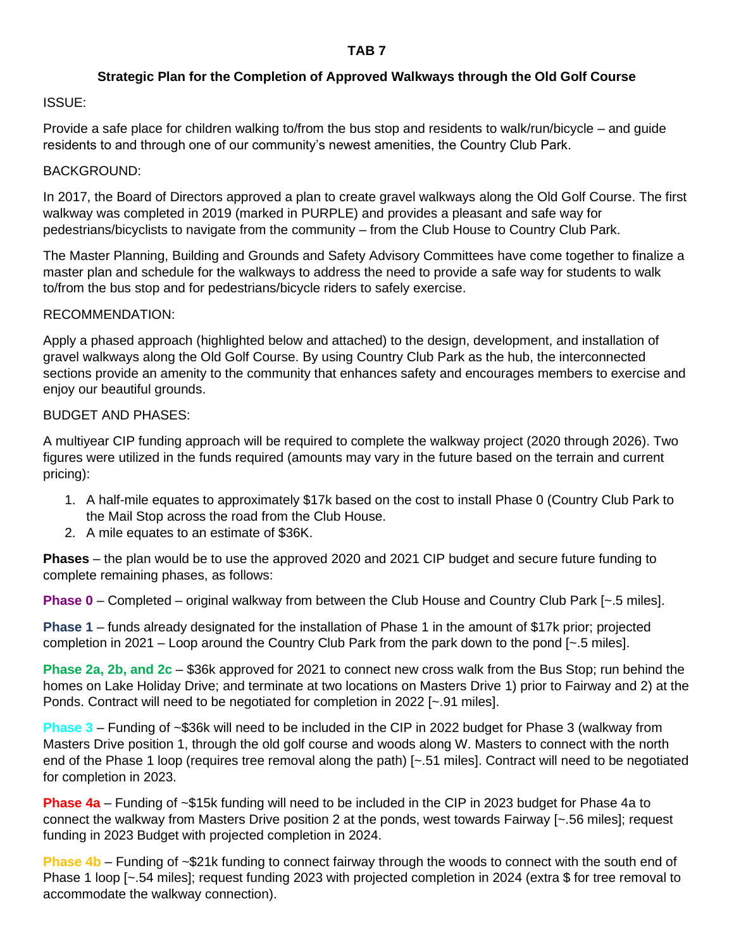#### **TAB 7**

# **Strategic Plan for the Completion of Approved Walkways through the Old Golf Course**

# ISSUE:

Provide a safe place for children walking to/from the bus stop and residents to walk/run/bicycle – and guide residents to and through one of our community's newest amenities, the Country Club Park.

#### BACKGROUND:

In 2017, the Board of Directors approved a plan to create gravel walkways along the Old Golf Course. The first walkway was completed in 2019 (marked in PURPLE) and provides a pleasant and safe way for pedestrians/bicyclists to navigate from the community – from the Club House to Country Club Park.

The Master Planning, Building and Grounds and Safety Advisory Committees have come together to finalize a master plan and schedule for the walkways to address the need to provide a safe way for students to walk to/from the bus stop and for pedestrians/bicycle riders to safely exercise.

#### RECOMMENDATION:

Apply a phased approach (highlighted below and attached) to the design, development, and installation of gravel walkways along the Old Golf Course. By using Country Club Park as the hub, the interconnected sections provide an amenity to the community that enhances safety and encourages members to exercise and enjoy our beautiful grounds.

# BUDGET AND PHASES:

A multiyear CIP funding approach will be required to complete the walkway project (2020 through 2026). Two figures were utilized in the funds required (amounts may vary in the future based on the terrain and current pricing):

- 1. A half-mile equates to approximately \$17k based on the cost to install Phase 0 (Country Club Park to the Mail Stop across the road from the Club House.
- 2. A mile equates to an estimate of \$36K.

**Phases** – the plan would be to use the approved 2020 and 2021 CIP budget and secure future funding to complete remaining phases, as follows:

**Phase 0** – Completed – original walkway from between the Club House and Country Club Park [~.5 miles].

**Phase 1** – funds already designated for the installation of Phase 1 in the amount of \$17k prior; projected completion in 2021 – Loop around the Country Club Park from the park down to the pond [~.5 miles].

**Phase 2a, 2b, and 2c** – \$36k approved for 2021 to connect new cross walk from the Bus Stop; run behind the homes on Lake Holiday Drive; and terminate at two locations on Masters Drive 1) prior to Fairway and 2) at the Ponds. Contract will need to be negotiated for completion in 2022 [~.91 miles].

**Phase 3** – Funding of ~\$36k will need to be included in the CIP in 2022 budget for Phase 3 (walkway from Masters Drive position 1, through the old golf course and woods along W. Masters to connect with the north end of the Phase 1 loop (requires tree removal along the path) [~.51 miles]. Contract will need to be negotiated for completion in 2023.

**Phase 4a** – Funding of ~\$15k funding will need to be included in the CIP in 2023 budget for Phase 4a to connect the walkway from Masters Drive position 2 at the ponds, west towards Fairway [~.56 miles]; request funding in 2023 Budget with projected completion in 2024.

**Phase 4b** – Funding of ~\$21k funding to connect fairway through the woods to connect with the south end of Phase 1 loop [~.54 miles]; request funding 2023 with projected completion in 2024 (extra \$ for tree removal to accommodate the walkway connection).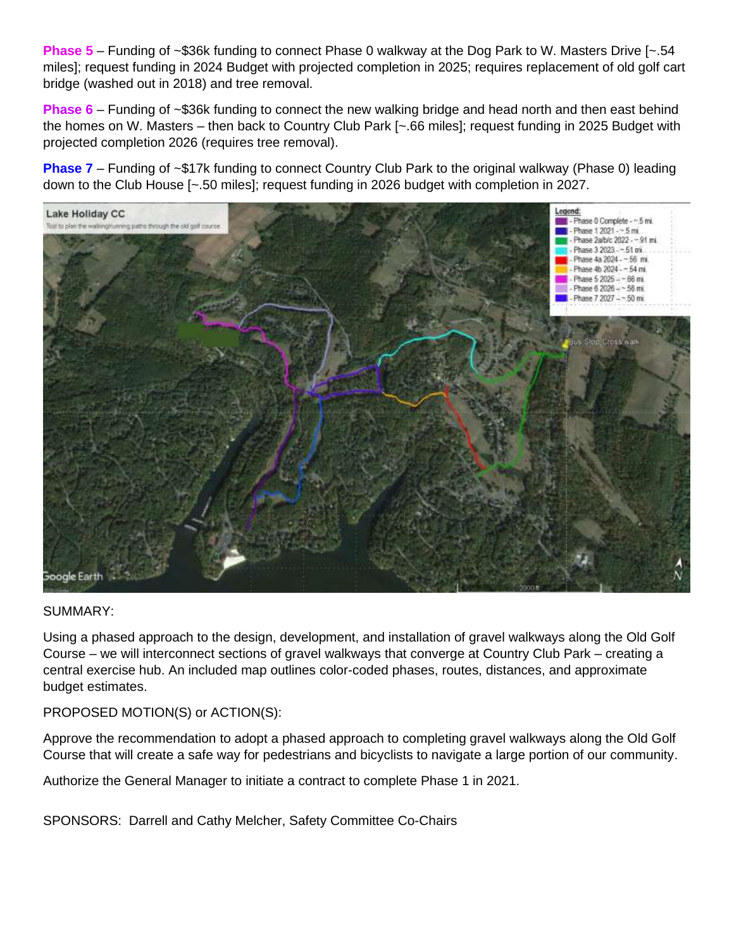**Phase 5** – Funding of ~\$36k funding to connect Phase 0 walkway at the Dog Park to W. Masters Drive [~.54 miles]; request funding in 2024 Budget with projected completion in 2025; requires replacement of old golf cart bridge (washed out in 2018) and tree removal.

**Phase 6** – Funding of ~\$36k funding to connect the new walking bridge and head north and then east behind the homes on W. Masters – then back to Country Club Park [~.66 miles]; request funding in 2025 Budget with projected completion 2026 (requires tree removal).

**Phase 7** – Funding of ~\$17k funding to connect Country Club Park to the original walkway (Phase 0) leading down to the Club House [~.50 miles]; request funding in 2026 budget with completion in 2027.



# SUMMARY:

Using a phased approach to the design, development, and installation of gravel walkways along the Old Golf Course – we will interconnect sections of gravel walkways that converge at Country Club Park – creating a central exercise hub. An included map outlines color-coded phases, routes, distances, and approximate budget estimates.

PROPOSED MOTION(S) or ACTION(S):

Approve the recommendation to adopt a phased approach to completing gravel walkways along the Old Golf Course that will create a safe way for pedestrians and bicyclists to navigate a large portion of our community.

Authorize the General Manager to initiate a contract to complete Phase 1 in 2021.

SPONSORS: Darrell and Cathy Melcher, Safety Committee Co-Chairs